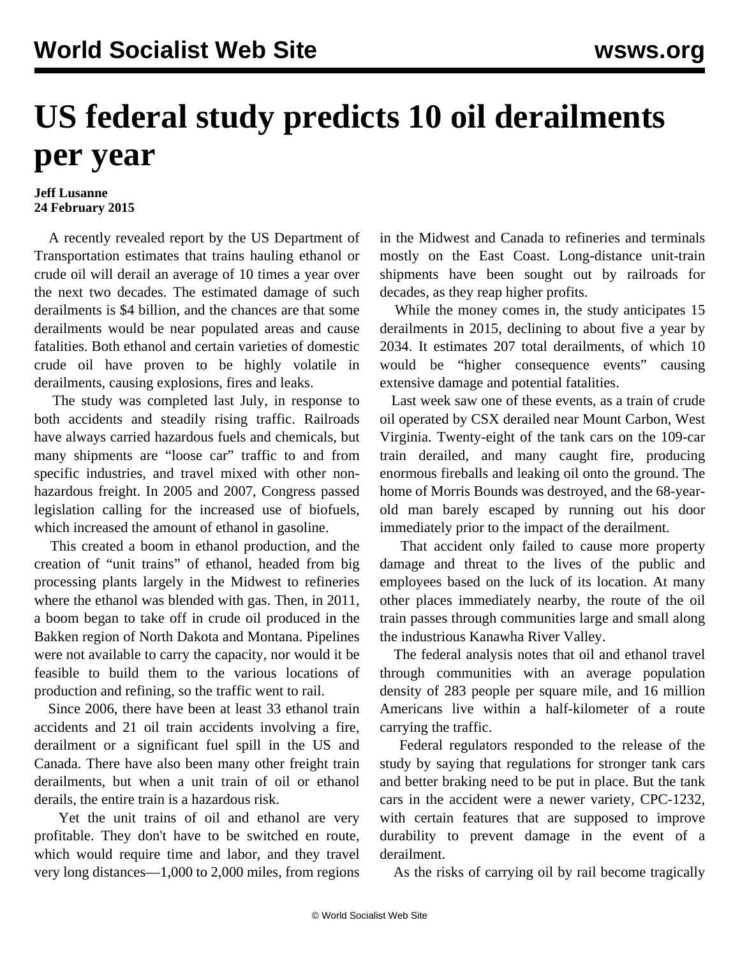## **US federal study predicts 10 oil derailments per year**

## **Jeff Lusanne 24 February 2015**

 A recently revealed report by the US Department of Transportation estimates that trains hauling ethanol or crude oil will derail an average of 10 times a year over the next two decades. The estimated damage of such derailments is \$4 billion, and the chances are that some derailments would be near populated areas and cause fatalities. Both ethanol and certain varieties of domestic crude oil have proven to be highly volatile in derailments, causing explosions, fires and leaks.

 The study was completed last July, in response to both accidents and steadily rising traffic. Railroads have always carried hazardous fuels and chemicals, but many shipments are "loose car" traffic to and from specific industries, and travel mixed with other nonhazardous freight. In 2005 and 2007, Congress passed legislation calling for the increased use of biofuels, which increased the amount of ethanol in gasoline.

 This created a boom in ethanol production, and the creation of "unit trains" of ethanol, headed from big processing plants largely in the Midwest to refineries where the ethanol was blended with gas. Then, in 2011, a boom began to take off in crude oil produced in the Bakken region of North Dakota and Montana. Pipelines were not available to carry the capacity, nor would it be feasible to build them to the various locations of production and refining, so the traffic went to rail.

 Since 2006, there have been at least 33 ethanol train accidents and 21 oil train accidents involving a fire, derailment or a significant fuel spill in the US and Canada. There have also been many other freight train derailments, but when a unit train of oil or ethanol derails, the entire train is a hazardous risk.

 Yet the unit trains of oil and ethanol are very profitable. They don't have to be switched en route, which would require time and labor, and they travel very long distances—1,000 to 2,000 miles, from regions

in the Midwest and Canada to refineries and terminals mostly on the East Coast. Long-distance unit-train shipments have been sought out by railroads for decades, as they reap higher profits.

 While the money comes in, the study anticipates 15 derailments in 2015, declining to about five a year by 2034. It estimates 207 total derailments, of which 10 would be "higher consequence events" causing extensive damage and potential fatalities.

 Last week saw one of these [events,](/en/articles/2015/02/18/rail-f18.html) as a train of crude oil operated by CSX derailed near Mount Carbon, West Virginia. Twenty-eight of the tank cars on the 109-car train derailed, and many caught fire, producing enormous fireballs and leaking oil onto the ground. The home of Morris Bounds was destroyed, and the 68-yearold man barely escaped by running out his door immediately prior to the impact of the derailment.

 That accident only failed to cause more property damage and threat to the lives of the public and employees based on the luck of its location. At many other places immediately nearby, the route of the oil train passes through communities large and small along the industrious Kanawha River Valley.

 The federal analysis notes that oil and ethanol travel through communities with an average population density of 283 people per square mile, and 16 million Americans live within a half-kilometer of a route carrying the traffic.

 Federal regulators responded to the release of the study by saying that regulations for stronger tank cars and better braking need to be put in place. But the tank cars in the accident were a newer variety, CPC-1232, with certain features that are supposed to improve durability to prevent damage in the event of a derailment.

As the risks of carrying oil by rail become tragically